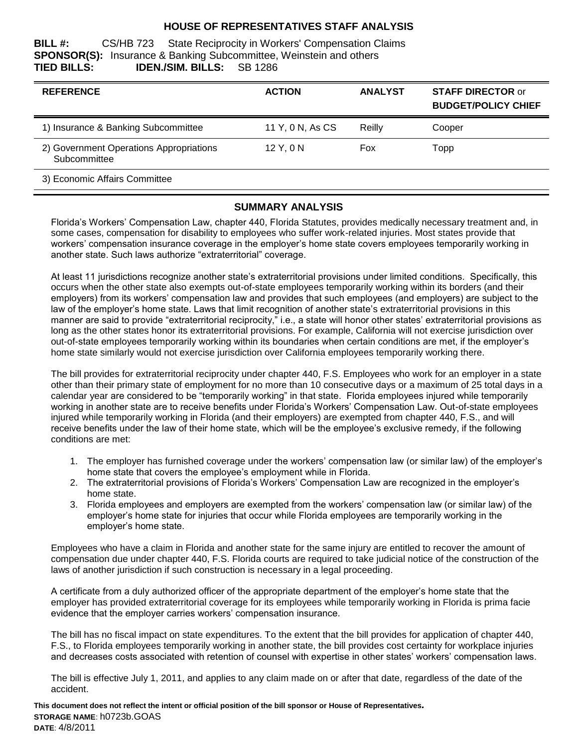### **HOUSE OF REPRESENTATIVES STAFF ANALYSIS**

**BILL #:** CS/HB 723 State Reciprocity in Workers' Compensation Claims **SPONSOR(S):** Insurance & Banking Subcommittee, Weinstein and others **TIED BILLS: IDEN./SIM. BILLS:** SB 1286

| <b>REFERENCE</b>                                        | <b>ACTION</b>    | <b>ANALYST</b> | <b>STAFF DIRECTOR or</b><br><b>BUDGET/POLICY CHIEF</b> |
|---------------------------------------------------------|------------------|----------------|--------------------------------------------------------|
| 1) Insurance & Banking Subcommittee                     | 11 Y, 0 N, As CS | Reilly         | Cooper                                                 |
| 2) Government Operations Appropriations<br>Subcommittee | 12 Y, 0 N        | Fox            | Topp                                                   |
| 3) Economic Affairs Committee                           |                  |                |                                                        |

#### **SUMMARY ANALYSIS**

Florida's Workers' Compensation Law, chapter 440, Florida Statutes, provides medically necessary treatment and, in some cases, compensation for disability to employees who suffer work-related injuries. Most states provide that workers' compensation insurance coverage in the employer's home state covers employees temporarily working in another state. Such laws authorize "extraterritorial" coverage.

At least 11 jurisdictions recognize another state's extraterritorial provisions under limited conditions. Specifically, this occurs when the other state also exempts out-of-state employees temporarily working within its borders (and their employers) from its workers' compensation law and provides that such employees (and employers) are subject to the law of the employer's home state. Laws that limit recognition of another state's extraterritorial provisions in this manner are said to provide "extraterritorial reciprocity," i.e., a state will honor other states' extraterritorial provisions as long as the other states honor its extraterritorial provisions. For example, California will not exercise jurisdiction over out-of-state employees temporarily working within its boundaries when certain conditions are met, if the employer's home state similarly would not exercise jurisdiction over California employees temporarily working there.

The bill provides for extraterritorial reciprocity under chapter 440, F.S. Employees who work for an employer in a state other than their primary state of employment for no more than 10 consecutive days or a maximum of 25 total days in a calendar year are considered to be "temporarily working" in that state. Florida employees injured while temporarily working in another state are to receive benefits under Florida's Workers' Compensation Law. Out-of-state employees injured while temporarily working in Florida (and their employers) are exempted from chapter 440, F.S., and will receive benefits under the law of their home state, which will be the employee's exclusive remedy, if the following conditions are met:

- 1. The employer has furnished coverage under the workers' compensation law (or similar law) of the employer's home state that covers the employee's employment while in Florida.
- 2. The extraterritorial provisions of Florida's Workers' Compensation Law are recognized in the employer's home state.
- 3. Florida employees and employers are exempted from the workers' compensation law (or similar law) of the employer's home state for injuries that occur while Florida employees are temporarily working in the employer's home state.

Employees who have a claim in Florida and another state for the same injury are entitled to recover the amount of compensation due under chapter 440, F.S. Florida courts are required to take judicial notice of the construction of the laws of another jurisdiction if such construction is necessary in a legal proceeding.

A certificate from a duly authorized officer of the appropriate department of the employer's home state that the employer has provided extraterritorial coverage for its employees while temporarily working in Florida is prima facie evidence that the employer carries workers' compensation insurance.

The bill has no fiscal impact on state expenditures. To the extent that the bill provides for application of chapter 440, F.S., to Florida employees temporarily working in another state, the bill provides cost certainty for workplace injuries and decreases costs associated with retention of counsel with expertise in other states' workers' compensation laws.

The bill is effective July 1, 2011, and applies to any claim made on or after that date, regardless of the date of the accident.

**This document does not reflect the intent or official position of the bill sponsor or House of Representatives***.* **STORAGE NAME**: h0723b.GOAS **DATE**: 4/8/2011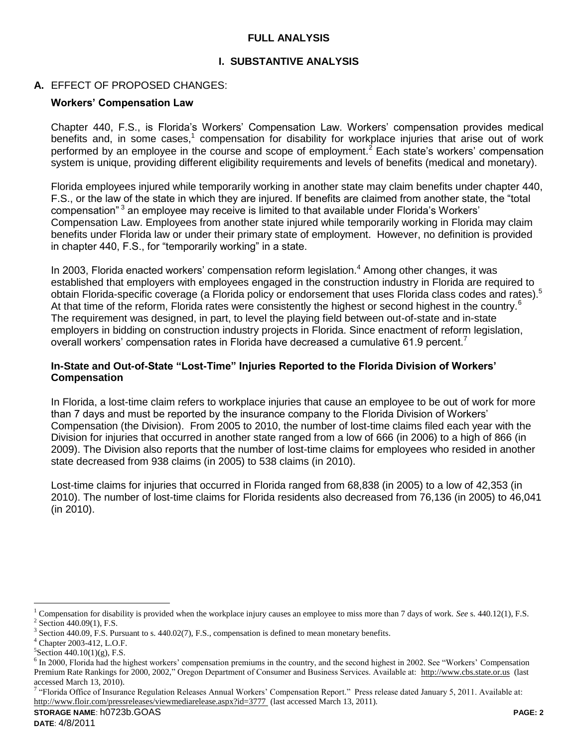## **FULL ANALYSIS**

## **I. SUBSTANTIVE ANALYSIS**

## **A.** EFFECT OF PROPOSED CHANGES:

#### **Workers' Compensation Law**

Chapter 440, F.S., is Florida's Workers' Compensation Law. Workers' compensation provides medical benefits and, in some cases,<sup>1</sup> compensation for disability for workplace injuries that arise out of work performed by an employee in the course and scope of employment.<sup>2</sup> Each state's workers' compensation system is unique, providing different eligibility requirements and levels of benefits (medical and monetary).

Florida employees injured while temporarily working in another state may claim benefits under chapter 440, F.S., or the law of the state in which they are injured. If benefits are claimed from another state, the "total compensation"<sup>3</sup> an employee may receive is limited to that available under Florida's Workers' Compensation Law. Employees from another state injured while temporarily working in Florida may claim benefits under Florida law or under their primary state of employment. However, no definition is provided in chapter 440, F.S., for "temporarily working" in a state.

In 2003, Florida enacted workers' compensation reform legislation.<sup>4</sup> Among other changes, it was established that employers with employees engaged in the construction industry in Florida are required to obtain Florida-specific coverage (a Florida policy or endorsement that uses Florida class codes and rates).<sup>5</sup> At that time of the reform, Florida rates were consistently the highest or second highest in the country.<sup>6</sup> The requirement was designed, in part, to level the playing field between out-of-state and in-state employers in bidding on construction industry projects in Florida. Since enactment of reform legislation, overall workers' compensation rates in Florida have decreased a cumulative 61.9 percent.<sup>7</sup>

#### **In-State and Out-of-State "Lost-Time" Injuries Reported to the Florida Division of Workers' Compensation**

In Florida, a lost-time claim refers to workplace injuries that cause an employee to be out of work for more than 7 days and must be reported by the insurance company to the Florida Division of Workers' Compensation (the Division). From 2005 to 2010, the number of lost-time claims filed each year with the Division for injuries that occurred in another state ranged from a low of 666 (in 2006) to a high of 866 (in 2009). The Division also reports that the number of lost-time claims for employees who resided in another state decreased from 938 claims (in 2005) to 538 claims (in 2010).

Lost-time claims for injuries that occurred in Florida ranged from 68,838 (in 2005) to a low of 42,353 (in 2010). The number of lost-time claims for Florida residents also decreased from 76,136 (in 2005) to 46,041 (in 2010).

 $\overline{a}$ 

<sup>1</sup> Compensation for disability is provided when the workplace injury causes an employee to miss more than 7 days of work. *See* s. 440.12(1), F.S.  $2$  Section 440.09(1), F.S.

<sup>&</sup>lt;sup>3</sup> Section 440.09, F.S. Pursuant to s. 440.02(7), F.S., compensation is defined to mean monetary benefits.

<sup>4</sup> Chapter 2003-412, L.O.F.

 ${}^{5}$ Section 440.10(1)(g), F.S.

<sup>&</sup>lt;sup>6</sup> In 2000, Florida had the highest workers' compensation premiums in the country, and the second highest in 2002. See "Workers' Compensation Premium Rate Rankings for 2000, 2002," Oregon Department of Consumer and Business Services. Available at: [http://www.cbs.state.or.us](http://www.cbs.state.or.us/) (last accessed March 13, 2010).

<sup>&</sup>lt;sup>7</sup> "Florida Office of Insurance Regulation Releases Annual Workers' Compensation Report." Press release dated January 5, 2011. Available at: <http://www.floir.com/pressreleases/viewmediarelease.aspx?id=3777> (last accessed March 13, 2011).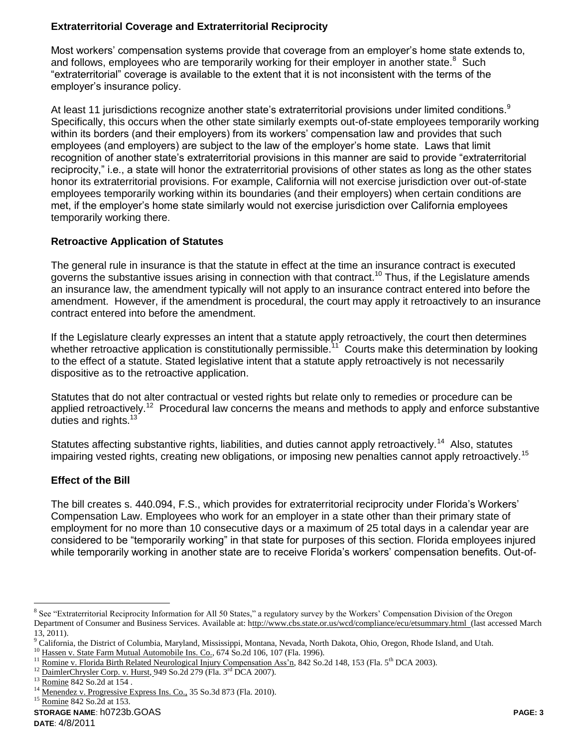# **Extraterritorial Coverage and Extraterritorial Reciprocity**

Most workers' compensation systems provide that coverage from an employer's home state extends to, and follows, employees who are temporarily working for their employer in another state. $8$  Such "extraterritorial" coverage is available to the extent that it is not inconsistent with the terms of the employer's insurance policy.

At least 11 jurisdictions recognize another state's extraterritorial provisions under limited conditions.<sup>9</sup> Specifically, this occurs when the other state similarly exempts out-of-state employees temporarily working within its borders (and their employers) from its workers' compensation law and provides that such employees (and employers) are subject to the law of the employer's home state. Laws that limit recognition of another state's extraterritorial provisions in this manner are said to provide "extraterritorial reciprocity," i.e., a state will honor the extraterritorial provisions of other states as long as the other states honor its extraterritorial provisions. For example, California will not exercise jurisdiction over out-of-state employees temporarily working within its boundaries (and their employers) when certain conditions are met, if the employer's home state similarly would not exercise jurisdiction over California employees temporarily working there.

## **Retroactive Application of Statutes**

The general rule in insurance is that the statute in effect at the time an insurance contract is executed governs the substantive issues arising in connection with that contract.<sup>10</sup> Thus, if the Legislature amends an insurance law, the amendment typically will not apply to an insurance contract entered into before the amendment. However, if the amendment is procedural, the court may apply it retroactively to an insurance contract entered into before the amendment.

If the Legislature clearly expresses an intent that a statute apply retroactively, the court then determines whether retroactive application is constitutionally permissible.<sup>11</sup> Courts make this determination by looking to the effect of a statute. Stated legislative intent that a statute apply retroactively is not necessarily dispositive as to the retroactive application.

Statutes that do not alter contractual or vested rights but relate only to remedies or procedure can be applied retroactively.<sup>12</sup> Procedural law concerns the means and methods to apply and enforce substantive duties and rights.<sup>13</sup>

Statutes affecting substantive rights, liabilities, and duties cannot apply retroactively.<sup>14</sup> Also, statutes impairing vested rights, creating new obligations, or imposing new penalties cannot apply retroactively.<sup>15</sup>

## **Effect of the Bill**

The bill creates s. 440.094, F.S., which provides for extraterritorial reciprocity under Florida's Workers' Compensation Law. Employees who work for an employer in a state other than their primary state of employment for no more than 10 consecutive days or a maximum of 25 total days in a calendar year are considered to be "temporarily working" in that state for purposes of this section. Florida employees injured while temporarily working in another state are to receive Florida's workers' compensation benefits. Out-of-

 $\overline{a}$ 

<sup>&</sup>lt;sup>8</sup> See "Extraterritorial Reciprocity Information for All 50 States," a regulatory survey by the Workers' Compensation Division of the Oregon Department of Consumer and Business Services. Available at: http://www.cbs.state.or.us/wcd/compliance/ecu/etsummary.html (last accessed March 13, 2011).

<sup>&</sup>lt;sup>9</sup> California, the District of Columbia, Maryland, Mississippi, Montana, Nevada, North Dakota, Ohio, Oregon, Rhode Island, and Utah.

<sup>&</sup>lt;sup>10</sup> Hassen v. State Farm Mutual Automobile Ins. Co., 674 So.2d 106, 107 (Fla. 1996).

<sup>&</sup>lt;sup>11</sup> Romine v. Florida Birth Related Neurological Injury Compensation Ass'n, 842 So.2d 148, 153 (Fla. 5<sup>th</sup> DCA 2003).

<sup>&</sup>lt;sup>12</sup> DaimlerChrysler Corp. v. Hurst, 949 So.2d 279 (Fla. 3<sup>rd</sup> DCA 2007).

<sup>13</sup> Romine 842 So.2d at 154 .

<sup>&</sup>lt;sup>14</sup> Menendez v. Progressive Express Ins. Co., 35 So.3d 873 (Fla. 2010).

**STORAGE NAME**: h0723b.GOAS **PAGE: 3** Romine 842 So.2d at 153.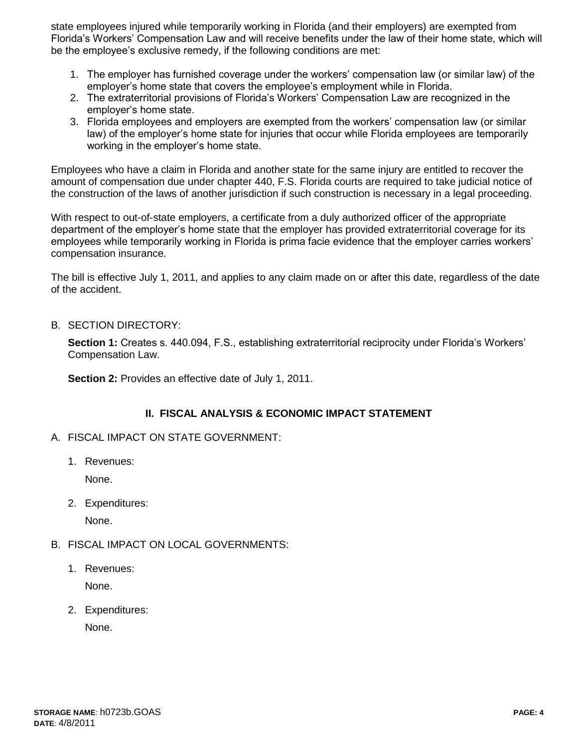state employees injured while temporarily working in Florida (and their employers) are exempted from Florida's Workers' Compensation Law and will receive benefits under the law of their home state, which will be the employee's exclusive remedy, if the following conditions are met:

- 1. The employer has furnished coverage under the workers' compensation law (or similar law) of the employer's home state that covers the employee's employment while in Florida.
- 2. The extraterritorial provisions of Florida's Workers' Compensation Law are recognized in the employer's home state.
- 3. Florida employees and employers are exempted from the workers' compensation law (or similar law) of the employer's home state for injuries that occur while Florida employees are temporarily working in the employer's home state.

Employees who have a claim in Florida and another state for the same injury are entitled to recover the amount of compensation due under chapter 440, F.S. Florida courts are required to take judicial notice of the construction of the laws of another jurisdiction if such construction is necessary in a legal proceeding.

With respect to out-of-state employers, a certificate from a duly authorized officer of the appropriate department of the employer's home state that the employer has provided extraterritorial coverage for its employees while temporarily working in Florida is prima facie evidence that the employer carries workers' compensation insurance.

The bill is effective July 1, 2011, and applies to any claim made on or after this date, regardless of the date of the accident.

B. SECTION DIRECTORY:

**Section 1:** Creates s. 440.094, F.S., establishing extraterritorial reciprocity under Florida's Workers' Compensation Law.

**Section 2: Provides an effective date of July 1, 2011.** 

### **II. FISCAL ANALYSIS & ECONOMIC IMPACT STATEMENT**

- A. FISCAL IMPACT ON STATE GOVERNMENT:
	- 1. Revenues:

None.

2. Expenditures:

None.

### B. FISCAL IMPACT ON LOCAL GOVERNMENTS:

1. Revenues:

None.

2. Expenditures:

None.